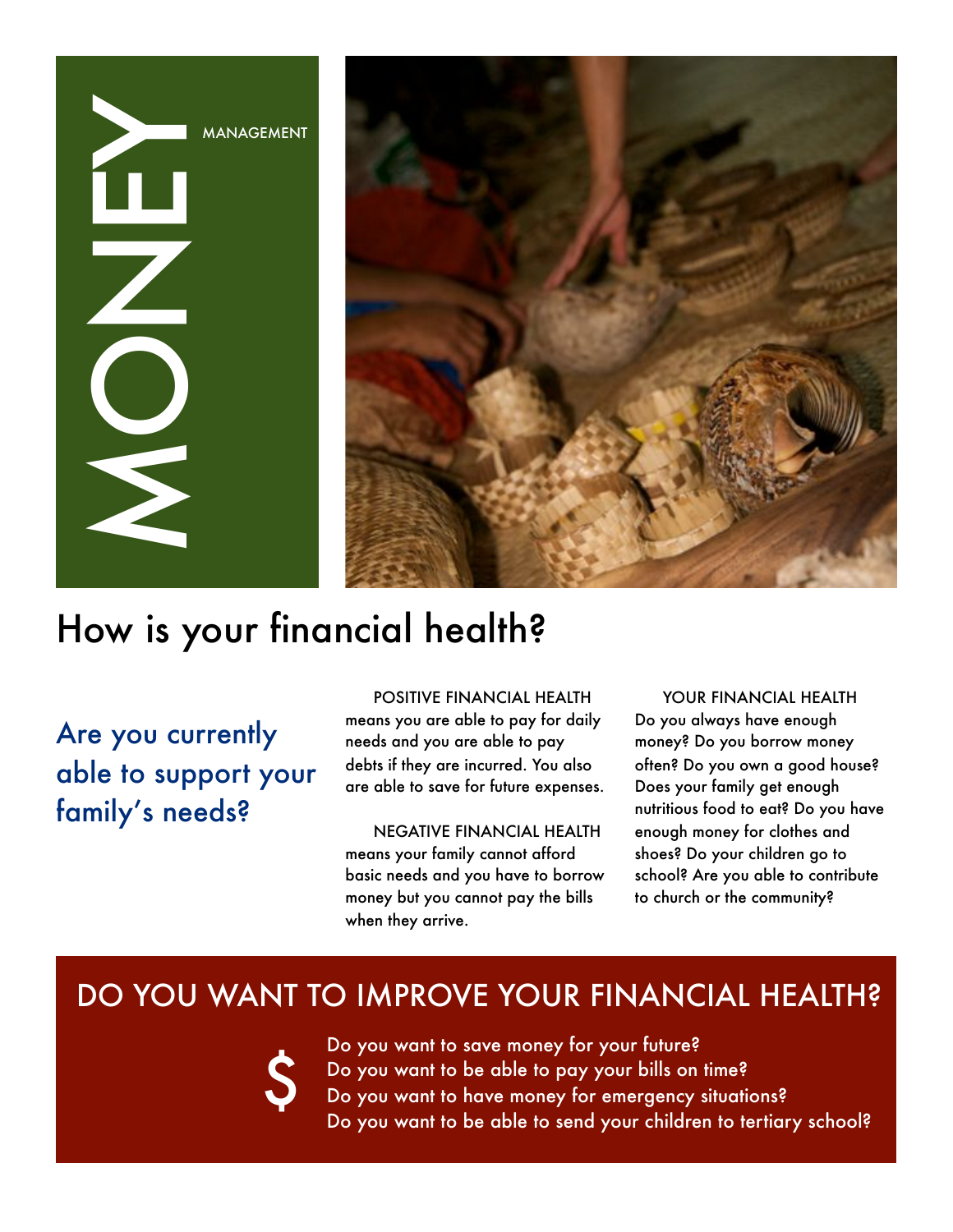

### How is your financial health?

Are you currently able to support your family's needs?

#### POSITIVE FINANCIAL HEALTH

means you are able to pay for daily needs and you are able to pay debts if they are incurred. You also are able to save for future expenses.

NEGATIVE FINANCIAL HEALTH means your family cannot afford basic needs and you have to borrow money but you cannot pay the bills when they arrive.

YOUR FINANCIAL HEALTH Do you always have enough money? Do you borrow money often? Do you own a good house? Does your family get enough nutritious food to eat? Do you have enough money for clothes and shoes? Do your children go to school? Are you able to contribute to church or the community?

 $\boldsymbol{\mathsf{S}}$ 

Do you want to save money for your future? Do you want to be able to pay your bills on time? Do you want to have money for emergency situations? Do you want to be able to send your children to tertiary school?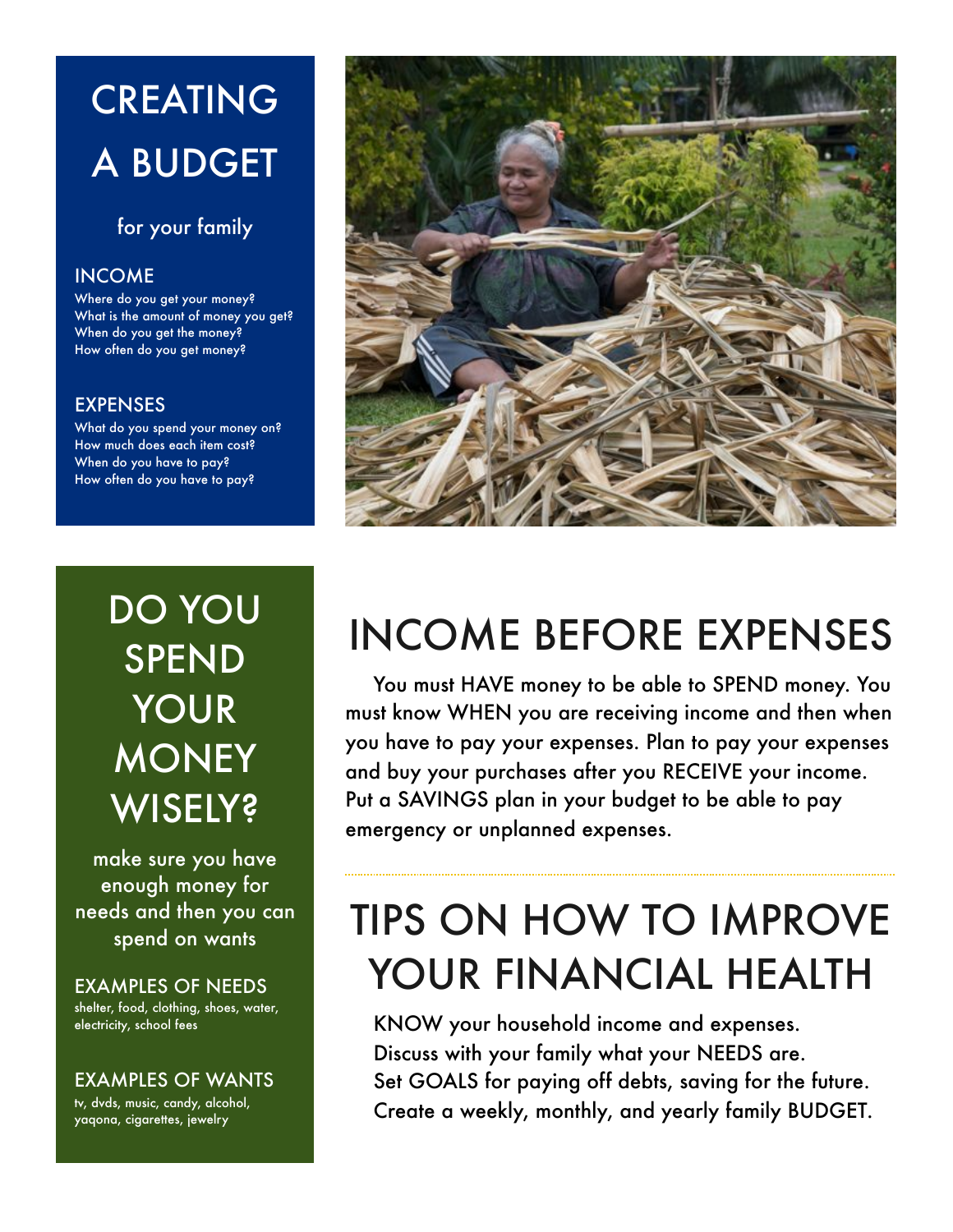## **CREATING** A BUDGET

### for your family

#### INCOME

Where do you get your money? What is the amount of money you get? When do you get the money? How often do you get money?

### EXPENSES

What do you spend your money on? How much does each item cost? When do you have to pay? How often do you have to pay?

### DO YOU SPEND YOUR **MONEY WISELY?**

make sure you have enough money for needs and then you can spend on wants

EXAMPLES OF NEEDS shelter, food, clothing, shoes, water, electricity, school fees

#### EXAMPLES OF WANTS tv, dvds, music, candy, alcohol,

yaqona, cigarettes, jewelry



### INCOME BEFORE EXPENSES

You must HAVE money to be able to SPEND money. You must know WHEN you are receiving income and then when you have to pay your expenses. Plan to pay your expenses and buy your purchases after you RECEIVE your income. Put a SAVINGS plan in your budget to be able to pay emergency or unplanned expenses.

### TIPS ON HOW TO IMPROVE YOUR FINANCIAL HEALTH

KNOW your household income and expenses. Discuss with your family what your NEEDS are. Set GOALS for paying off debts, saving for the future. Create a weekly, monthly, and yearly family BUDGET.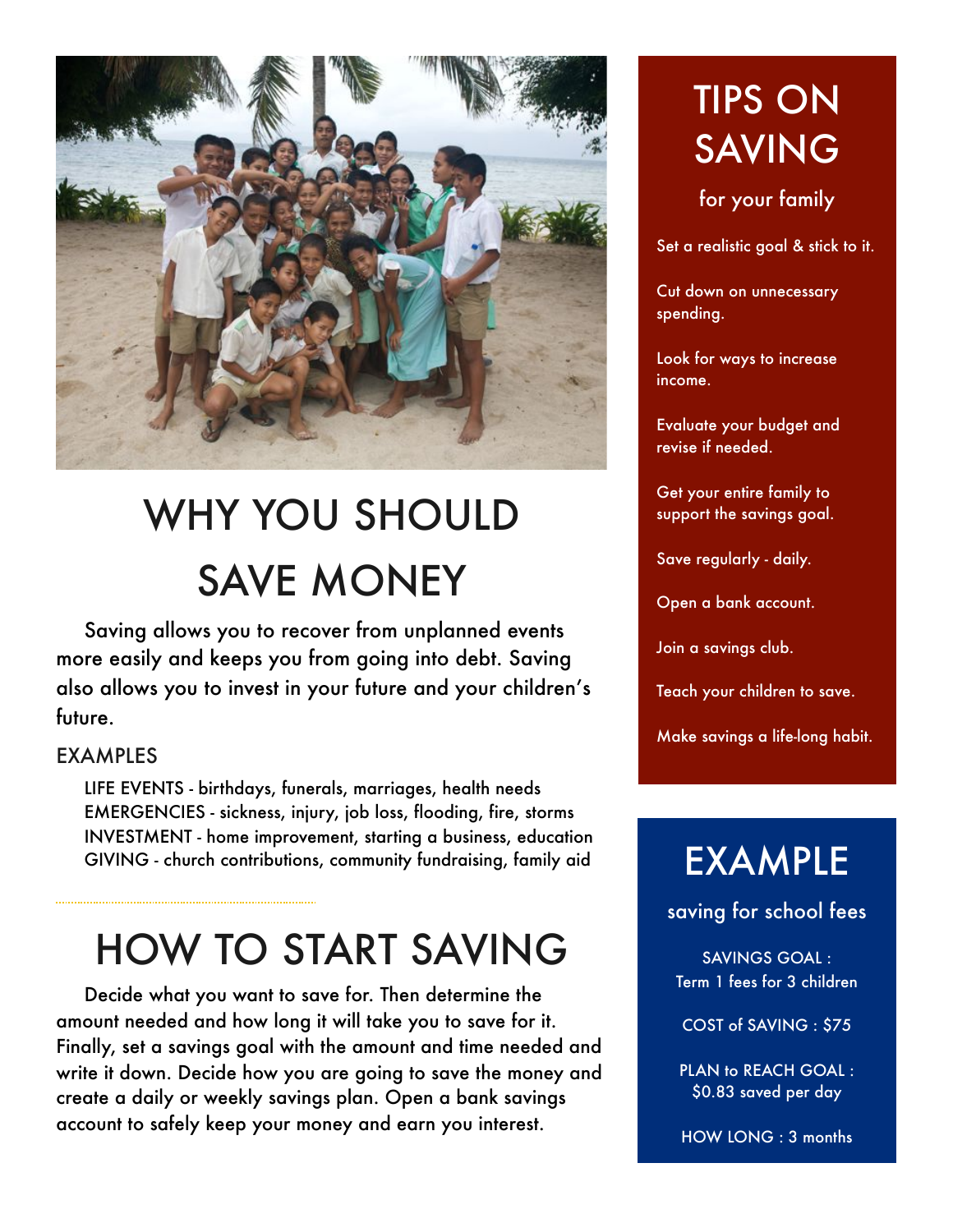

# WHY YOU SHOULD SAVE MONEY

Saving allows you to recover from unplanned events more easily and keeps you from going into debt. Saving also allows you to invest in your future and your children's future.

### EXAMPLES

LIFE EVENTS - birthdays, funerals, marriages, health needs EMERGENCIES - sickness, injury, job loss, flooding, fire, storms INVESTMENT - home improvement, starting a business, education GIVING - church contributions, community fundraising, family aid

### HOW TO START SAVING

Decide what you want to save for. Then determine the amount needed and how long it will take you to save for it. Finally, set a savings goal with the amount and time needed and write it down. Decide how you are going to save the money and create a daily or weekly savings plan. Open a bank savings account to safely keep your money and earn you interest.

### TIPS ON SAVING

for your family

Set a realistic goal & stick to it.

Cut down on unnecessary spending.

Look for ways to increase income.

Evaluate your budget and revise if needed.

Get your entire family to support the savings goal.

Save regularly - daily.

Open a bank account.

Join a savings club.

Teach your children to save.

Make savings a life-long habit.

### EXAMPLE

saving for school fees

SAVINGS GOAL : Term 1 fees for 3 children

COST of SAVING : \$75

PLAN to REACH GOAL : \$0.83 saved per day

HOW LONG : 3 months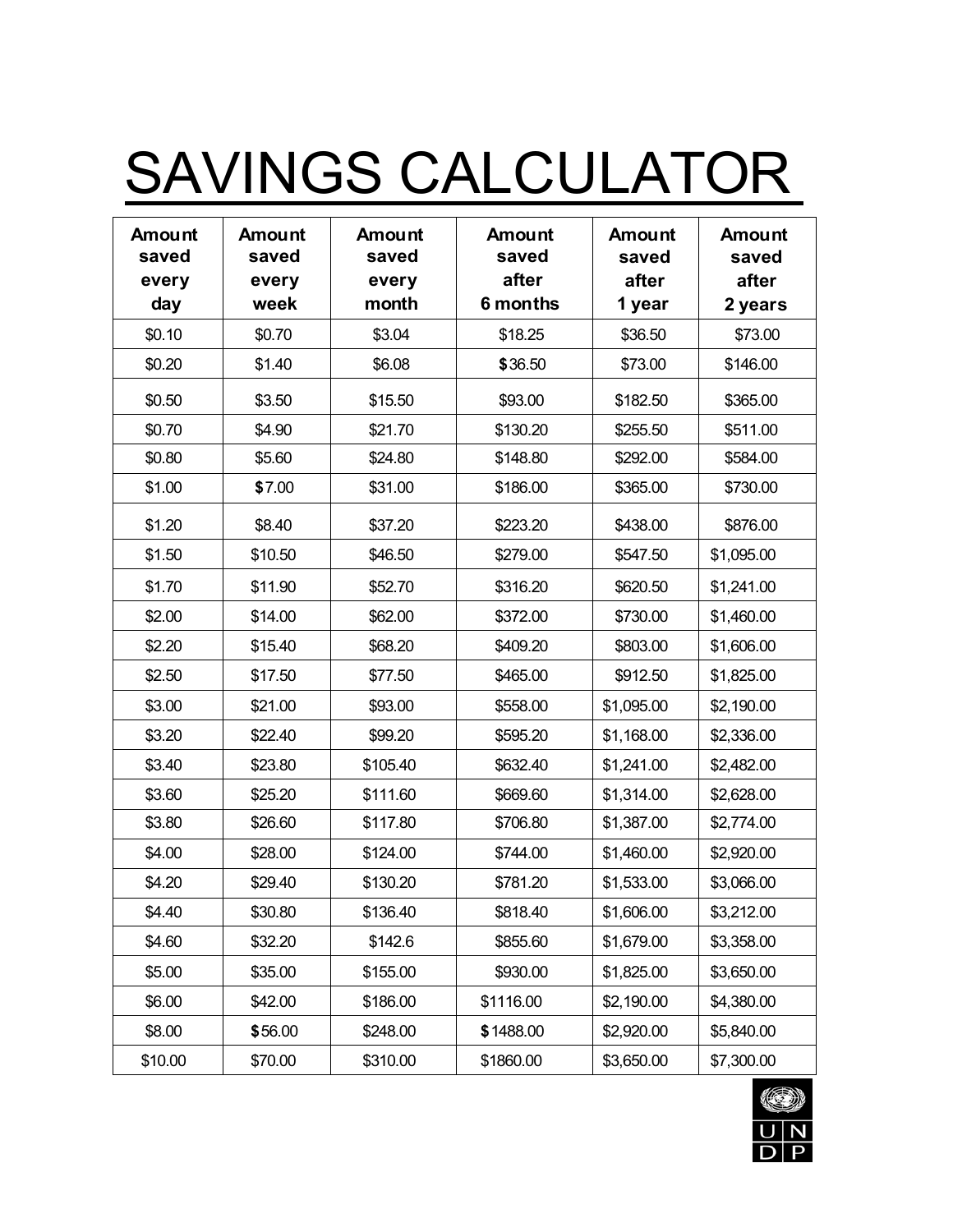# SAVINGS CALCULATOR

| <b>Amount</b><br>saved<br>every<br>day | <b>Amount</b><br>saved<br>every<br>week | Amount<br>saved<br>every<br>month | <b>Amount</b><br>saved<br>after<br>6 months | <b>Amount</b><br>saved<br>after<br>1 year | <b>Amount</b><br>saved<br>after<br>2 years |
|----------------------------------------|-----------------------------------------|-----------------------------------|---------------------------------------------|-------------------------------------------|--------------------------------------------|
| \$0.10                                 | \$0.70                                  | \$3.04                            | \$18.25                                     | \$36.50                                   | \$73.00                                    |
| \$0.20                                 | \$1.40                                  | \$6.08                            | \$36.50                                     | \$73.00                                   | \$146.00                                   |
| \$0.50                                 | \$3.50                                  | \$15.50                           | \$93.00                                     | \$182.50                                  | \$365.00                                   |
| \$0.70                                 | \$4.90                                  | \$21.70                           | \$130.20                                    | \$255.50                                  | \$511.00                                   |
| \$0.80                                 | \$5.60                                  | \$24.80                           | \$148.80                                    | \$292.00                                  | \$584.00                                   |
| \$1.00                                 | \$7.00                                  | \$31.00                           | \$186.00                                    | \$365.00                                  | \$730.00                                   |
| \$1.20                                 | \$8.40                                  | \$37.20                           | \$223.20                                    | \$438.00                                  | \$876.00                                   |
| \$1.50                                 | \$10.50                                 | \$46.50                           | \$279.00                                    | \$547.50                                  | \$1,095.00                                 |
| \$1.70                                 | \$11.90                                 | \$52.70                           | \$316.20                                    | \$620.50                                  | \$1,241.00                                 |
| \$2.00                                 | \$14.00                                 | \$62.00                           | \$372.00                                    | \$730.00                                  | \$1,460.00                                 |
| \$2.20                                 | \$15.40                                 | \$68.20                           | \$409.20                                    | \$803.00                                  | \$1,606.00                                 |
| \$2.50                                 | \$17.50                                 | \$77.50                           | \$465.00                                    | \$912.50                                  | \$1,825.00                                 |
| \$3.00                                 | \$21.00                                 | \$93.00                           | \$558.00                                    | \$1,095.00                                | \$2,190.00                                 |
| \$3.20                                 | \$22.40                                 | \$99.20                           | \$595.20                                    | \$1,168.00                                | \$2,336.00                                 |
| \$3.40                                 | \$23.80                                 | \$105.40                          | \$632.40                                    | \$1,241.00                                | \$2,482.00                                 |
| \$3.60                                 | \$25.20                                 | \$111.60                          | \$669.60                                    | \$1,314.00                                | \$2,628.00                                 |
| \$3.80                                 | \$26.60                                 | \$117.80                          | \$706.80                                    | \$1,387.00                                | \$2,774.00                                 |
| \$4.00                                 | \$28.00                                 | \$124.00                          | \$744.00                                    | \$1,460.00                                | \$2,920.00                                 |
| \$4.20                                 | \$29.40                                 | \$130.20                          | \$781.20                                    | \$1,533.00                                | \$3,066.00                                 |
| \$4.40                                 | \$30.80                                 | \$136.40                          | \$818.40                                    | \$1,606.00                                | \$3,212.00                                 |
| \$4.60                                 | \$32.20                                 | \$142.6                           | \$855.60                                    | \$1,679.00                                | \$3,358.00                                 |
| \$5.00                                 | \$35.00                                 | \$155.00                          | \$930.00                                    | \$1,825.00                                | \$3,650.00                                 |
| \$6.00                                 | \$42.00                                 | \$186.00                          | \$1116.00                                   | \$2,190.00                                | \$4,380.00                                 |
| \$8.00                                 | \$56.00                                 | \$248.00                          | \$1488.00                                   | \$2,920.00                                | \$5,840.00                                 |
| \$10.00                                | \$70.00                                 | \$310.00                          | \$1860.00                                   | \$3,650.00                                | \$7,300.00                                 |

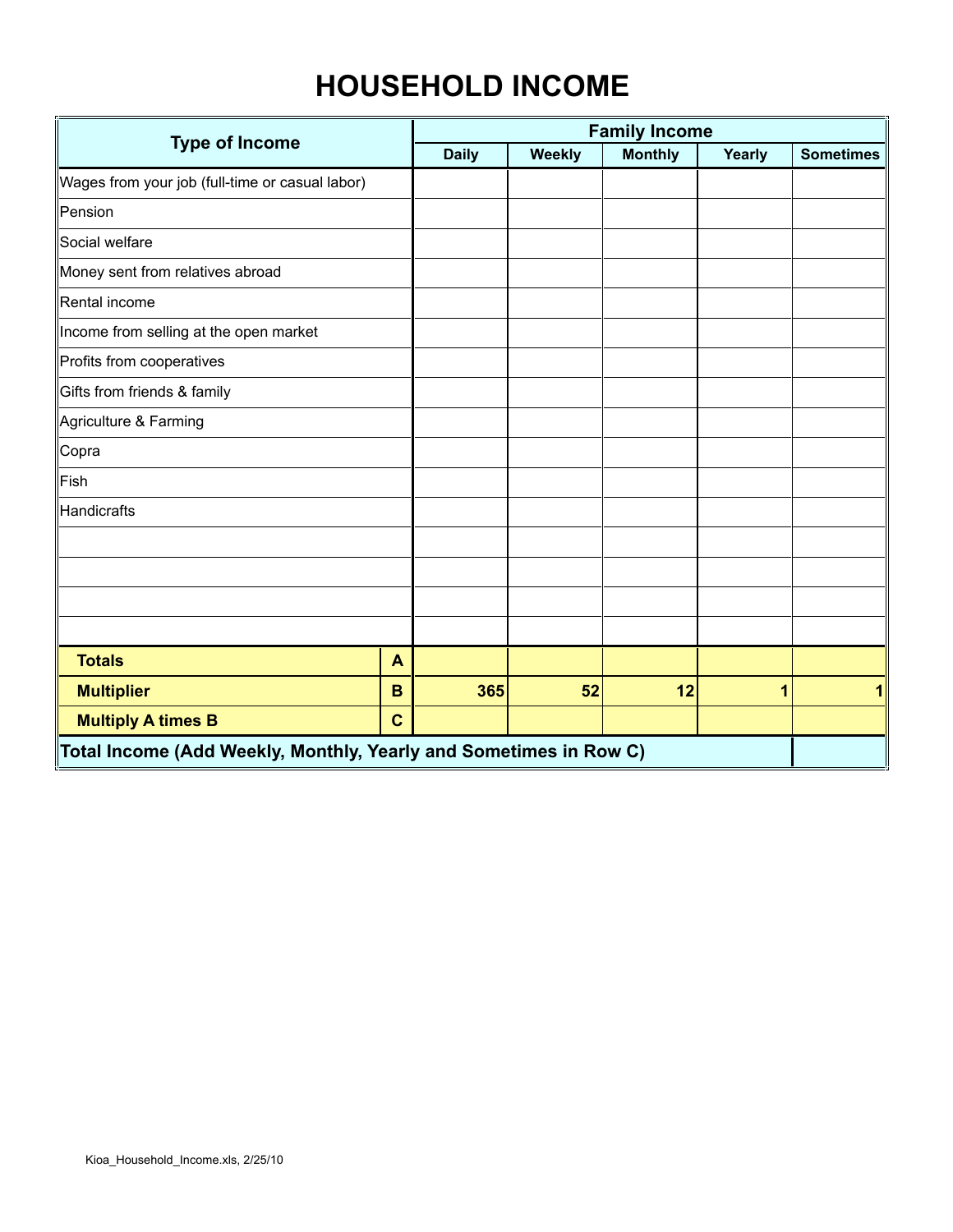### **HOUSEHOLD INCOME**

| <b>Type of Income</b>                                             |                  | <b>Family Income</b><br><b>Monthly</b><br><b>Daily</b><br>Weekly |    |    |        |                  |  |  |  |
|-------------------------------------------------------------------|------------------|------------------------------------------------------------------|----|----|--------|------------------|--|--|--|
|                                                                   |                  |                                                                  |    |    | Yearly | <b>Sometimes</b> |  |  |  |
| Wages from your job (full-time or casual labor)                   |                  |                                                                  |    |    |        |                  |  |  |  |
| Pension                                                           |                  |                                                                  |    |    |        |                  |  |  |  |
| Social welfare                                                    |                  |                                                                  |    |    |        |                  |  |  |  |
| Money sent from relatives abroad                                  |                  |                                                                  |    |    |        |                  |  |  |  |
| Rental income                                                     |                  |                                                                  |    |    |        |                  |  |  |  |
| Income from selling at the open market                            |                  |                                                                  |    |    |        |                  |  |  |  |
| Profits from cooperatives                                         |                  |                                                                  |    |    |        |                  |  |  |  |
| Gifts from friends & family                                       |                  |                                                                  |    |    |        |                  |  |  |  |
| Agriculture & Farming                                             |                  |                                                                  |    |    |        |                  |  |  |  |
| Copra                                                             |                  |                                                                  |    |    |        |                  |  |  |  |
| Fish                                                              |                  |                                                                  |    |    |        |                  |  |  |  |
| Handicrafts                                                       |                  |                                                                  |    |    |        |                  |  |  |  |
|                                                                   |                  |                                                                  |    |    |        |                  |  |  |  |
|                                                                   |                  |                                                                  |    |    |        |                  |  |  |  |
|                                                                   |                  |                                                                  |    |    |        |                  |  |  |  |
|                                                                   |                  |                                                                  |    |    |        |                  |  |  |  |
| <b>Totals</b>                                                     | $\blacktriangle$ |                                                                  |    |    |        |                  |  |  |  |
| <b>Multiplier</b>                                                 | B                | 365                                                              | 52 | 12 | 1      | 1                |  |  |  |
| <b>Multiply A times B</b>                                         | $\mathbf C$      |                                                                  |    |    |        |                  |  |  |  |
| Total Income (Add Weekly, Monthly, Yearly and Sometimes in Row C) |                  |                                                                  |    |    |        |                  |  |  |  |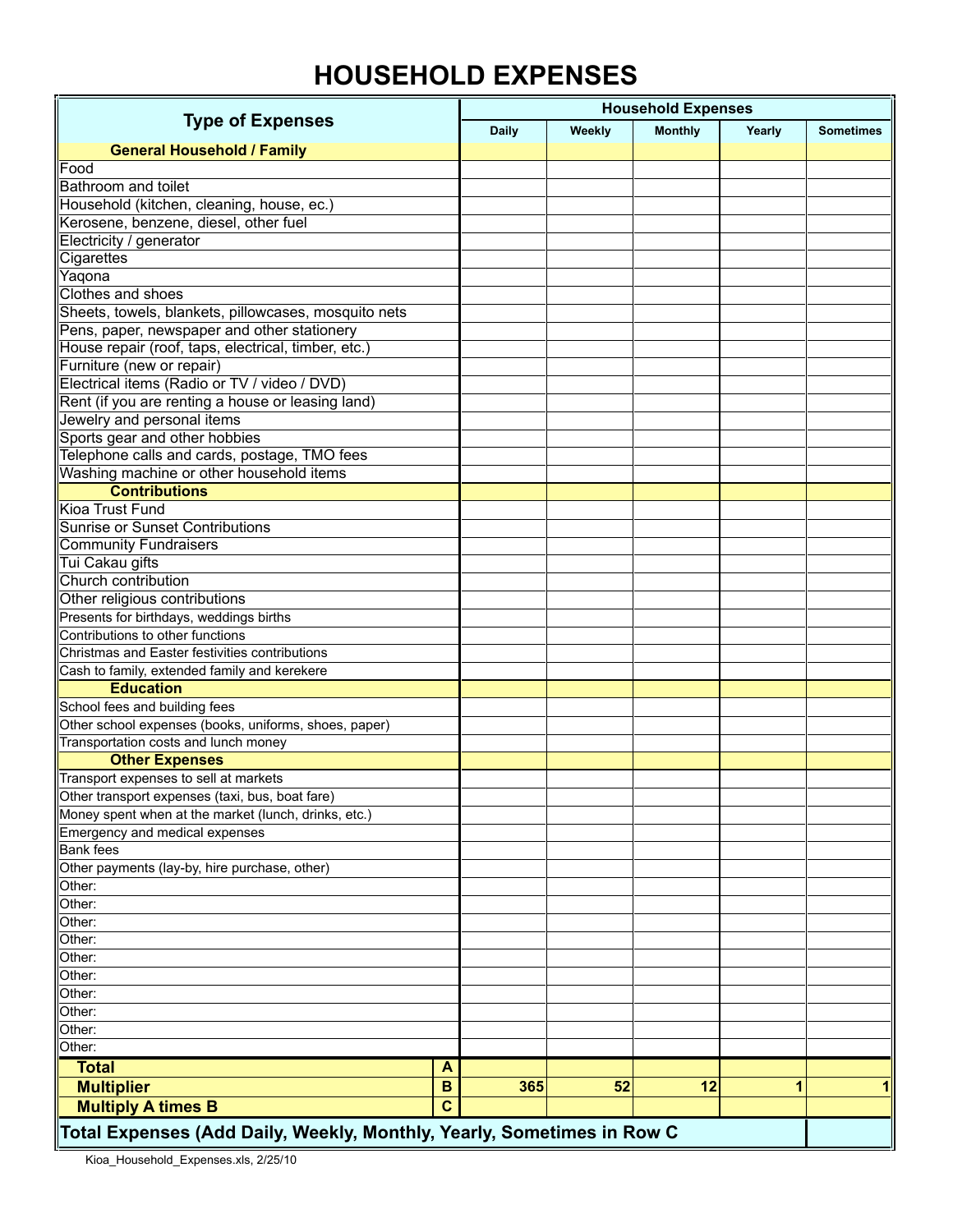### **HOUSEHOLD EXPENSES**

|                                                                        |   | <b>Household Expenses</b> |        |                |        |                  |  |  |
|------------------------------------------------------------------------|---|---------------------------|--------|----------------|--------|------------------|--|--|
| <b>Type of Expenses</b>                                                |   | <b>Daily</b>              | Weekly | <b>Monthly</b> | Yearly | <b>Sometimes</b> |  |  |
| <b>General Household / Family</b>                                      |   |                           |        |                |        |                  |  |  |
| Food                                                                   |   |                           |        |                |        |                  |  |  |
| <b>Bathroom and toilet</b>                                             |   |                           |        |                |        |                  |  |  |
| Household (kitchen, cleaning, house, ec.)                              |   |                           |        |                |        |                  |  |  |
| Kerosene, benzene, diesel, other fuel                                  |   |                           |        |                |        |                  |  |  |
| Electricity / generator                                                |   |                           |        |                |        |                  |  |  |
| Cigarettes                                                             |   |                           |        |                |        |                  |  |  |
| Yaqona                                                                 |   |                           |        |                |        |                  |  |  |
| Clothes and shoes                                                      |   |                           |        |                |        |                  |  |  |
| Sheets, towels, blankets, pillowcases, mosquito nets                   |   |                           |        |                |        |                  |  |  |
| Pens, paper, newspaper and other stationery                            |   |                           |        |                |        |                  |  |  |
| House repair (roof, taps, electrical, timber, etc.)                    |   |                           |        |                |        |                  |  |  |
| Furniture (new or repair)                                              |   |                           |        |                |        |                  |  |  |
| Electrical items (Radio or TV / video / DVD)                           |   |                           |        |                |        |                  |  |  |
| Rent (if you are renting a house or leasing land)                      |   |                           |        |                |        |                  |  |  |
| Jewelry and personal items                                             |   |                           |        |                |        |                  |  |  |
| Sports gear and other hobbies                                          |   |                           |        |                |        |                  |  |  |
| Telephone calls and cards, postage, TMO fees                           |   |                           |        |                |        |                  |  |  |
| Washing machine or other household items                               |   |                           |        |                |        |                  |  |  |
| <b>Contributions</b>                                                   |   |                           |        |                |        |                  |  |  |
| Kioa Trust Fund                                                        |   |                           |        |                |        |                  |  |  |
| <b>Sunrise or Sunset Contributions</b>                                 |   |                           |        |                |        |                  |  |  |
| <b>Community Fundraisers</b>                                           |   |                           |        |                |        |                  |  |  |
| Tui Cakau gifts                                                        |   |                           |        |                |        |                  |  |  |
| Church contribution                                                    |   |                           |        |                |        |                  |  |  |
| Other religious contributions                                          |   |                           |        |                |        |                  |  |  |
| Presents for birthdays, weddings births                                |   |                           |        |                |        |                  |  |  |
| Contributions to other functions                                       |   |                           |        |                |        |                  |  |  |
| Christmas and Easter festivities contributions                         |   |                           |        |                |        |                  |  |  |
| Cash to family, extended family and kerekere                           |   |                           |        |                |        |                  |  |  |
| <b>Education</b>                                                       |   |                           |        |                |        |                  |  |  |
| School fees and building fees                                          |   |                           |        |                |        |                  |  |  |
| Other school expenses (books, uniforms, shoes, paper)                  |   |                           |        |                |        |                  |  |  |
| Transportation costs and lunch money                                   |   |                           |        |                |        |                  |  |  |
| <b>Other Expenses</b>                                                  |   |                           |        |                |        |                  |  |  |
| Transport expenses to sell at markets                                  |   |                           |        |                |        |                  |  |  |
| Other transport expenses (taxi, bus, boat fare)                        |   |                           |        |                |        |                  |  |  |
| Money spent when at the market (lunch, drinks, etc.)                   |   |                           |        |                |        |                  |  |  |
| Emergency and medical expenses                                         |   |                           |        |                |        |                  |  |  |
| <b>Bank</b> fees                                                       |   |                           |        |                |        |                  |  |  |
| Other payments (lay-by, hire purchase, other)                          |   |                           |        |                |        |                  |  |  |
| Other:                                                                 |   |                           |        |                |        |                  |  |  |
| Other:                                                                 |   |                           |        |                |        |                  |  |  |
| Other:                                                                 |   |                           |        |                |        |                  |  |  |
|                                                                        |   |                           |        |                |        |                  |  |  |
| Other:                                                                 |   |                           |        |                |        |                  |  |  |
| Other:                                                                 |   |                           |        |                |        |                  |  |  |
| Other:                                                                 |   |                           |        |                |        |                  |  |  |
| Other:                                                                 |   |                           |        |                |        |                  |  |  |
| Other:                                                                 |   |                           |        |                |        |                  |  |  |
| Other:                                                                 |   |                           |        |                |        |                  |  |  |
| Other:                                                                 |   |                           |        |                |        |                  |  |  |
| <b>Total</b>                                                           | A |                           |        |                |        |                  |  |  |
| <b>Multiplier</b>                                                      | B | 365                       | 52     | 12             | 1      | 1                |  |  |
| <b>Multiply A times B</b>                                              | C |                           |        |                |        |                  |  |  |
| Total Expenses (Add Daily, Weekly, Monthly, Yearly, Sometimes in Row C |   |                           |        |                |        |                  |  |  |

Kioa\_Household\_Expenses.xls, 2/25/10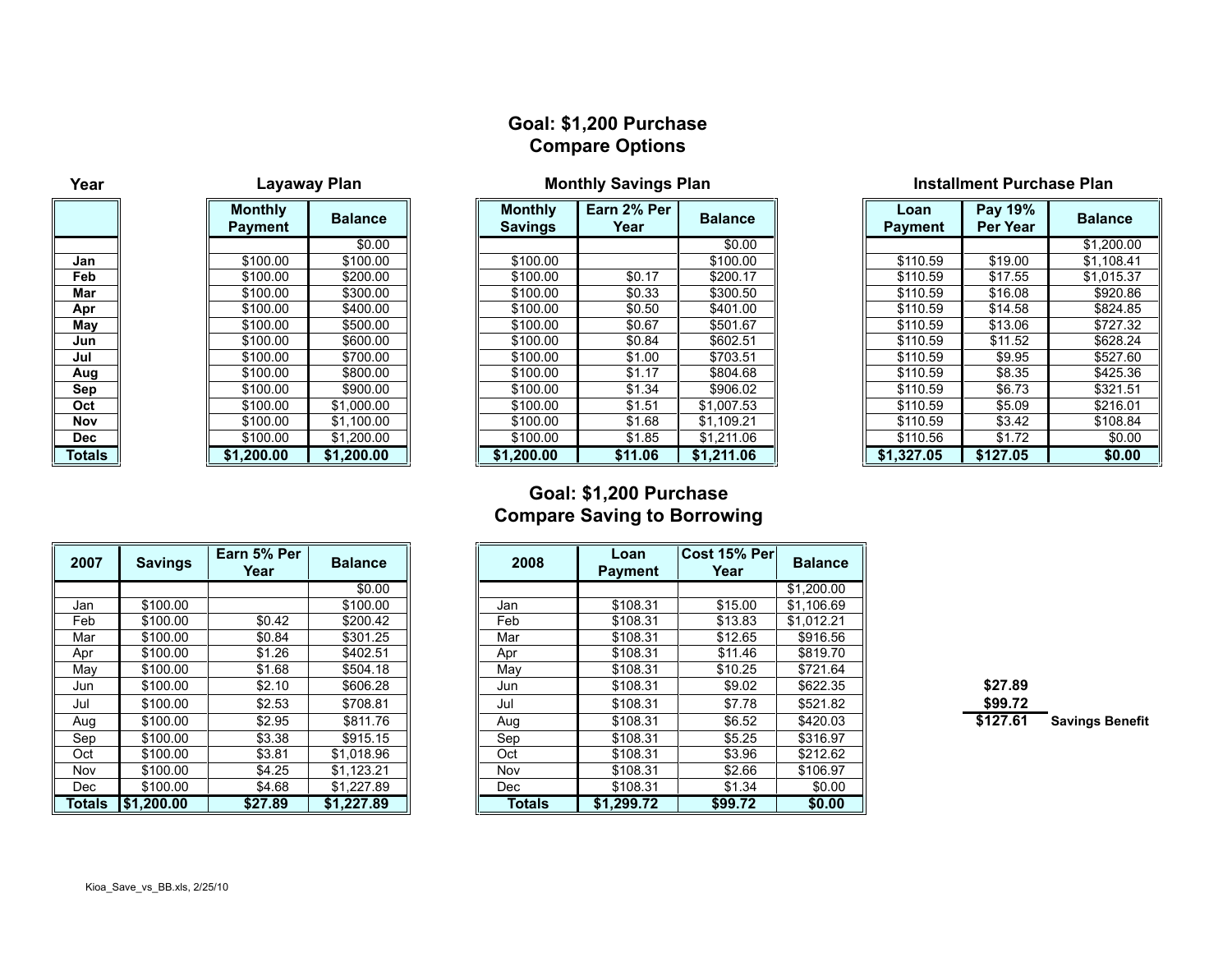#### **Goal: \$1,200 Purchase Compare Options**

| Year     |  |  |  |  |  |  |  |
|----------|--|--|--|--|--|--|--|
|          |  |  |  |  |  |  |  |
|          |  |  |  |  |  |  |  |
|          |  |  |  |  |  |  |  |
| Jan      |  |  |  |  |  |  |  |
| Feb      |  |  |  |  |  |  |  |
| Mar      |  |  |  |  |  |  |  |
| Apr      |  |  |  |  |  |  |  |
| .<br>May |  |  |  |  |  |  |  |
| Jun      |  |  |  |  |  |  |  |
| Jul      |  |  |  |  |  |  |  |
| Aug      |  |  |  |  |  |  |  |
| Sep      |  |  |  |  |  |  |  |
| Oct      |  |  |  |  |  |  |  |
| Nov      |  |  |  |  |  |  |  |
| Dec      |  |  |  |  |  |  |  |
| otals    |  |  |  |  |  |  |  |

|                                  | Layaway Plan   |                                  |  |  |  |
|----------------------------------|----------------|----------------------------------|--|--|--|
| <b>Monthly</b><br><b>Payment</b> | <b>Balance</b> | <b>Monthly</b><br><b>Savings</b> |  |  |  |
|                                  | \$0.00         |                                  |  |  |  |
| \$100.00                         | \$100.00       | \$100.00                         |  |  |  |
| \$100.00                         | \$200.00       | \$100.00                         |  |  |  |
| \$100.00                         | \$300.00       | \$100.00                         |  |  |  |
| \$100.00                         | \$400.00       | \$100.00                         |  |  |  |
| \$100.00                         | \$500.00       | \$100.00                         |  |  |  |
| \$100.00                         | \$600.00       | \$100.00                         |  |  |  |
| \$100.00                         | \$700.00       | \$100.00                         |  |  |  |
| \$100.00                         | \$800.00       | \$100.00                         |  |  |  |
| \$100.00                         | \$900.00       | \$100.00                         |  |  |  |
| \$100.00                         | \$1,000.00     | \$100.00                         |  |  |  |
| \$100.00                         | \$1,100.00     | \$100.00                         |  |  |  |
| \$100.00                         | \$1,200.00     | \$100.00                         |  |  |  |
| \$1.200.00                       | \$1.200.00     | \$1.200.00                       |  |  |  |

#### **Monthly Savings Plan**

|        | <b>Monthly</b><br><b>Payment</b> | <b>Balance</b> | <b>Monthly</b><br><b>Savings</b> | Earn 2% Per<br>Year | <b>Balance</b> | Loan<br><b>Payment</b> | Pay 19%<br>Per Year | <b>Balance</b> |
|--------|----------------------------------|----------------|----------------------------------|---------------------|----------------|------------------------|---------------------|----------------|
|        |                                  | \$0.00         |                                  |                     | \$0.00         |                        |                     | \$1,200.00     |
| Jan    | \$100.00                         | \$100.00       | \$100.00                         |                     | \$100.00       | \$110.59               | \$19.00             | \$1,108.41     |
| Feb    | \$100.00                         | \$200.00       | \$100.00                         | \$0.17              | \$200.17       | \$110.59               | \$17.55             | \$1,015.37     |
| Mar    | \$100.00                         | \$300.00       | \$100.00                         | \$0.33              | \$300.50       | \$110.59               | \$16.08             | \$920.86       |
| Apr    | \$100.00                         | \$400.00       | \$100.00                         | \$0.50              | \$401.00       | \$110.59               | \$14.58             | \$824.85       |
| May    | \$100.00                         | \$500.00       | \$100.00                         | \$0.67              | \$501.67       | \$110.59               | \$13.06             | \$727.32       |
| Jun    | \$100.00                         | \$600.00       | \$100.00                         | \$0.84              | \$602.51       | \$110.59               | \$11.52             | \$628.24       |
| Jul    | \$100.00                         | \$700.00       | \$100.00                         | \$1.00              | \$703.51       | \$110.59               | \$9.95              | \$527.60       |
| Aug    | \$100.00                         | \$800.00       | \$100.00                         | \$1.17              | \$804.68       | \$110.59               | \$8.35              | \$425.36       |
| Sep    | \$100.00                         | \$900.00       | \$100.00                         | \$1.34              | \$906.02       | \$110.59               | \$6.73              | \$321.51       |
| Oct    | \$100.00                         | \$1,000.00     | \$100.00                         | \$1.51              | \$1,007.53     | \$110.59               | \$5.09              | \$216.01       |
| Nov    | \$100.00                         | \$1,100.00     | \$100.00                         | \$1.68              | \$1,109.21     | \$110.59               | \$3.42              | \$108.84       |
| Dec    | \$100.00                         | \$1,200.00     | \$100.00                         | \$1.85              | \$1,211.06     | \$110.56               | \$1.72              | \$0.00         |
| Totals | \$1,200.00                       | \$1,200.00     | \$1,200.00                       | \$11.06             | \$1,211.06     | \$1,327.05             | \$127.05            | \$0.00         |

#### **Installment Purchase Plan**

| Loan<br><b>Payment</b> | Pay 19%<br>Per Year | <b>Balance</b> |  |  |
|------------------------|---------------------|----------------|--|--|
|                        |                     | \$1,200.00     |  |  |
| \$110.59               | \$19.00             | \$1,108.41     |  |  |
| \$110.59               | \$17.55             | \$1,015.37     |  |  |
| \$110.59               | \$16.08             | \$920.86       |  |  |
| \$110.59               | \$14.58             | \$824.85       |  |  |
| \$110.59               | \$13.06             | \$727.32       |  |  |
| \$110.59               | \$11.52             | \$628.24       |  |  |
| \$110.59               | \$9.95              | \$527.60       |  |  |
| \$110.59               | \$8.35              | \$425.36       |  |  |
| \$110.59               | \$6.73              | \$321.51       |  |  |
| \$110.59               | \$5.09              | \$216.01       |  |  |
| \$110.59               | \$3.42              | \$108.84       |  |  |
| \$110.56               | \$1.72              | \$0.00         |  |  |
| \$1.327.05             | \$127.05            | \$0.00         |  |  |

#### **Goal: \$1,200 Purchase Compare Saving to Borrowing**

| 2007          | <b>Savings</b> | Earn 5% Per<br>Year | <b>Balance</b> |
|---------------|----------------|---------------------|----------------|
|               |                |                     | \$0.00         |
| Jan           | \$100.00       |                     | \$100.00       |
| Feb           | \$100.00       | \$0.42              | \$200.42       |
| Mar           | \$100.00       | \$0.84              | \$301.25       |
| Apr           | \$100.00       | \$1.26              | \$402.51       |
| May           | \$100.00       | \$1.68              | \$504.18       |
| Jun           | \$100.00       | \$2.10              | \$606.28       |
| Jul           | \$100.00       | \$2.53              | \$708.81       |
| Aug           | \$100.00       | \$2.95              | \$811.76       |
| Sep           | \$100.00       | \$3.38              | \$915.15       |
| Oct           | \$100.00       | \$3.81              | \$1,018.96     |
| Nov           | \$100.00       | \$4.25              | \$1,123.21     |
| Dec           | \$100.00       | \$4.68              | \$1,227.89     |
| <b>Totals</b> | \$1.200.00     | \$27.89             | \$1.227.89     |

| 2007       | <b>Savings</b> | Earn 5% Per<br>Year | <b>Balance</b> | 2008       | Loan<br><b>Payment</b> | <b>Cost 15% Per</b><br>Year | <b>Balance</b> |
|------------|----------------|---------------------|----------------|------------|------------------------|-----------------------------|----------------|
|            |                |                     | \$0.00         |            |                        |                             | \$1.200.00     |
| Jan        | \$100.00       |                     | \$100.00       | Jan        | \$108.31               | \$15.00                     | \$1,106.69     |
| Feb        | \$100.00       | \$0.42              | \$200.42       | Feb        | \$108.31               | \$13.83                     | \$1.012.21     |
| Mar        | \$100.00       | \$0.84              | \$301.25       | Mar        | \$108.31               | \$12.65                     | \$916.56       |
| Apr        | \$100.00       | \$1.26              | \$402.51       | Apr        | \$108.31               | \$11.46                     | \$819.70       |
| Mav        | \$100.00       | \$1.68              | \$504.18       | May        | \$108.31               | \$10.25                     | \$721.64       |
| Jun        | \$100.00       | \$2.10              | \$606.28       | Jun        | \$108.31               | \$9.02                      | \$622.35       |
| Jul        | \$100.00       | \$2.53              | \$708.81       | Jul        | \$108.31               | \$7.78                      | \$521.82       |
| Aug        | \$100.00       | \$2.95              | \$811.76       | Aug        | \$108.31               | \$6.52                      | \$420.03       |
| Sep        | \$100.00       | \$3.38              | \$915.15       | Sep        | \$108.31               | \$5.25                      | \$316.97       |
| Oct        | \$100.00       | \$3.81              | \$1,018.96     | Oct        | \$108.31               | \$3.96                      | \$212.62       |
| Nov        | \$100.00       | \$4.25              | \$1,123.21     | Nov        | \$108.31               | \$2.66                      | \$106.97       |
| <b>Dec</b> | \$100.00       | \$4.68              | \$1,227.89     | <b>Dec</b> | \$108.31               | \$1.34                      | \$0.00         |
| Totals     | \$1.200.00     | \$27.89             | \$1,227.89     | Totals     | \$1,299.72             | \$99.72                     | \$0.00         |

 $$127.61$  Savings Benefit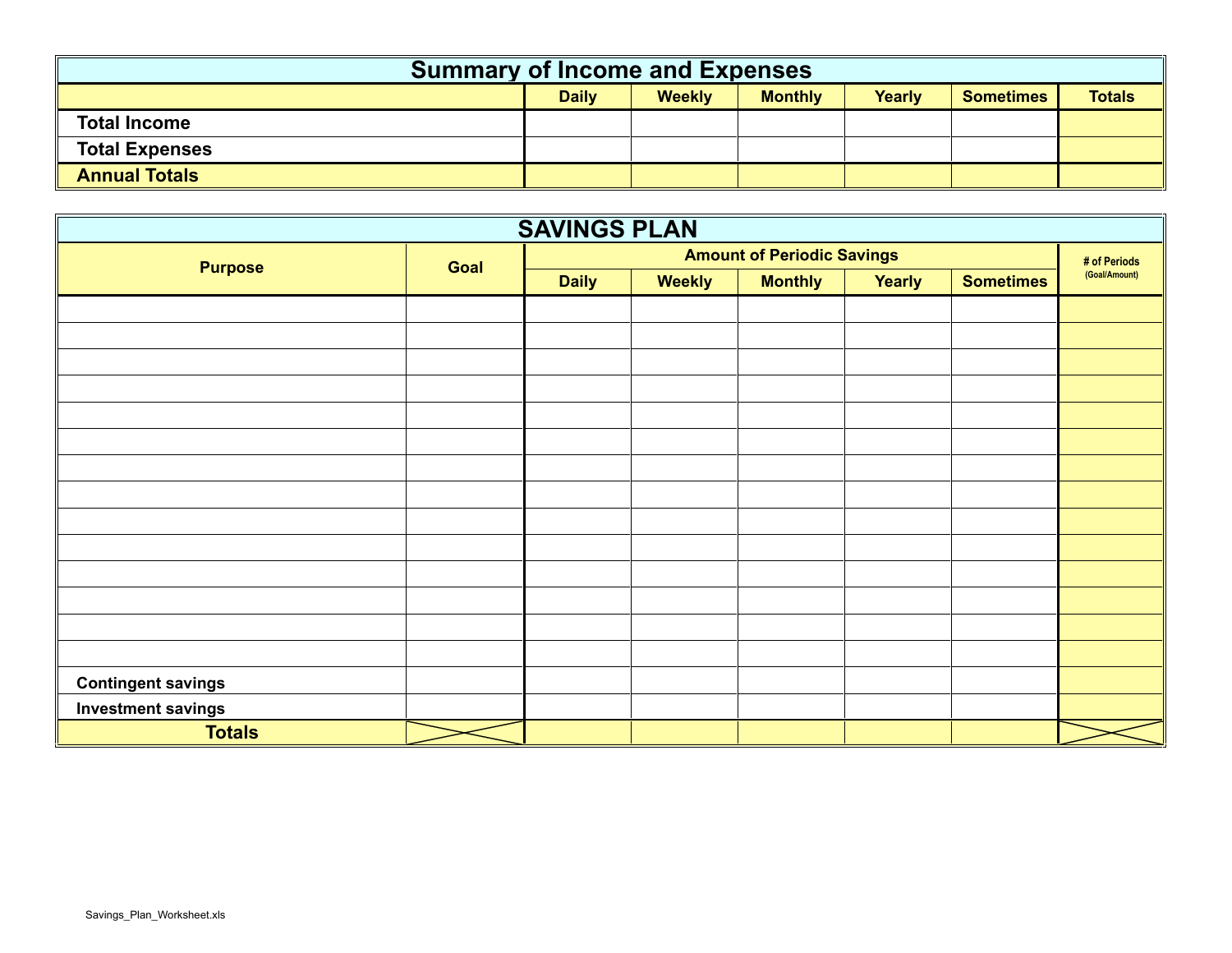| <b>Summary of Income and Expenses</b>                                                          |  |  |  |  |  |  |  |  |  |  |
|------------------------------------------------------------------------------------------------|--|--|--|--|--|--|--|--|--|--|
| <b>Totals</b><br><b>Weekly</b><br><b>Monthly</b><br>Yearly<br><b>Daily</b><br><b>Sometimes</b> |  |  |  |  |  |  |  |  |  |  |
| <b>Total Income</b>                                                                            |  |  |  |  |  |  |  |  |  |  |
| <b>Total Expenses</b>                                                                          |  |  |  |  |  |  |  |  |  |  |
| <b>Annual Totals</b>                                                                           |  |  |  |  |  |  |  |  |  |  |

| <b>SAVINGS PLAN</b>       |      |              |               |                                   |        |                  |               |  |  |
|---------------------------|------|--------------|---------------|-----------------------------------|--------|------------------|---------------|--|--|
| <b>Purpose</b>            | Goal |              |               | <b>Amount of Periodic Savings</b> |        |                  | # of Periods  |  |  |
|                           |      | <b>Daily</b> | <b>Weekly</b> | <b>Monthly</b>                    | Yearly | <b>Sometimes</b> | (Goal/Amount) |  |  |
|                           |      |              |               |                                   |        |                  |               |  |  |
|                           |      |              |               |                                   |        |                  |               |  |  |
|                           |      |              |               |                                   |        |                  |               |  |  |
|                           |      |              |               |                                   |        |                  |               |  |  |
|                           |      |              |               |                                   |        |                  |               |  |  |
|                           |      |              |               |                                   |        |                  |               |  |  |
|                           |      |              |               |                                   |        |                  |               |  |  |
|                           |      |              |               |                                   |        |                  |               |  |  |
|                           |      |              |               |                                   |        |                  |               |  |  |
|                           |      |              |               |                                   |        |                  |               |  |  |
|                           |      |              |               |                                   |        |                  |               |  |  |
|                           |      |              |               |                                   |        |                  |               |  |  |
|                           |      |              |               |                                   |        |                  |               |  |  |
|                           |      |              |               |                                   |        |                  |               |  |  |
| <b>Contingent savings</b> |      |              |               |                                   |        |                  |               |  |  |
| <b>Investment savings</b> |      |              |               |                                   |        |                  |               |  |  |
| <b>Totals</b>             |      |              |               |                                   |        |                  |               |  |  |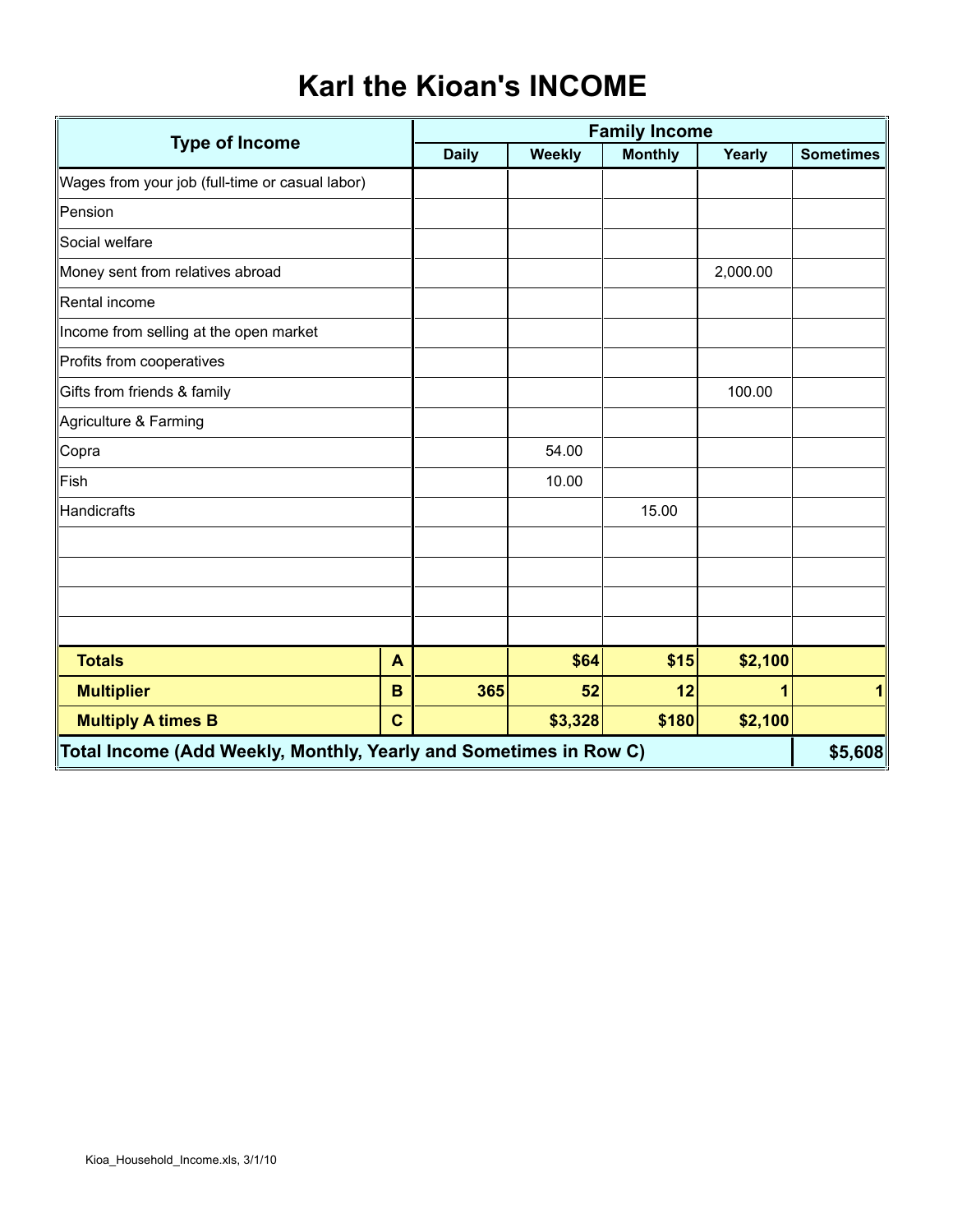### **Karl the Kioan's INCOME**

|                                                                   | <b>Family Income</b> |              |         |                |          |                  |  |  |
|-------------------------------------------------------------------|----------------------|--------------|---------|----------------|----------|------------------|--|--|
| <b>Type of Income</b>                                             |                      | <b>Daily</b> | Weekly  | <b>Monthly</b> | Yearly   | <b>Sometimes</b> |  |  |
| Wages from your job (full-time or casual labor)                   |                      |              |         |                |          |                  |  |  |
| Pension                                                           |                      |              |         |                |          |                  |  |  |
| Social welfare                                                    |                      |              |         |                |          |                  |  |  |
| Money sent from relatives abroad                                  |                      |              |         |                | 2,000.00 |                  |  |  |
| Rental income                                                     |                      |              |         |                |          |                  |  |  |
| Income from selling at the open market                            |                      |              |         |                |          |                  |  |  |
| Profits from cooperatives                                         |                      |              |         |                |          |                  |  |  |
| Gifts from friends & family                                       |                      |              |         |                | 100.00   |                  |  |  |
| Agriculture & Farming                                             |                      |              |         |                |          |                  |  |  |
| Copra                                                             |                      |              | 54.00   |                |          |                  |  |  |
| Fish                                                              |                      |              | 10.00   |                |          |                  |  |  |
| Handicrafts                                                       |                      |              |         | 15.00          |          |                  |  |  |
|                                                                   |                      |              |         |                |          |                  |  |  |
|                                                                   |                      |              |         |                |          |                  |  |  |
|                                                                   |                      |              |         |                |          |                  |  |  |
|                                                                   |                      |              |         |                |          |                  |  |  |
| <b>Totals</b>                                                     | $\mathbf{A}$         |              | \$64    | \$15           | \$2,100  |                  |  |  |
| <b>Multiplier</b>                                                 | B                    | 365          | 52      | 12             |          | 1                |  |  |
| <b>Multiply A times B</b>                                         | $\mathbf C$          |              | \$3,328 | \$180          | \$2,100  |                  |  |  |
| Total Income (Add Weekly, Monthly, Yearly and Sometimes in Row C) |                      |              |         |                |          |                  |  |  |